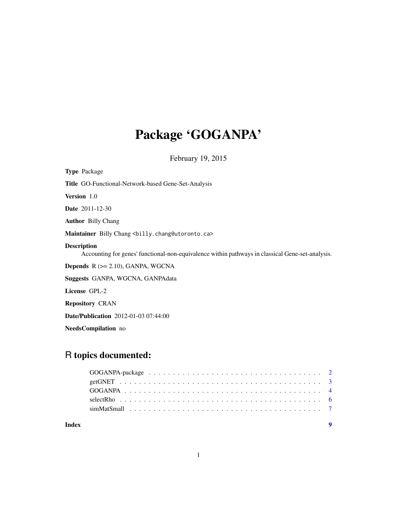# Package 'GOGANPA'

February 19, 2015

NeedsCompilation no

# R topics documented:

| Index |  |  |  |  |  |  |  |  |  |  |  |  |  |  |
|-------|--|--|--|--|--|--|--|--|--|--|--|--|--|--|
|       |  |  |  |  |  |  |  |  |  |  |  |  |  |  |
|       |  |  |  |  |  |  |  |  |  |  |  |  |  |  |
|       |  |  |  |  |  |  |  |  |  |  |  |  |  |  |
|       |  |  |  |  |  |  |  |  |  |  |  |  |  |  |
|       |  |  |  |  |  |  |  |  |  |  |  |  |  |  |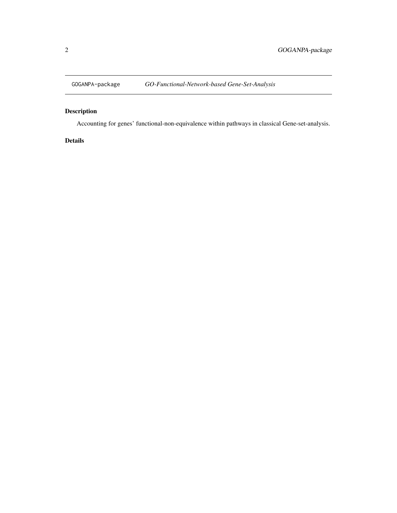<span id="page-1-0"></span>

# Description

Accounting for genes' functional-non-equivalence within pathways in classical Gene-set-analysis.

### Details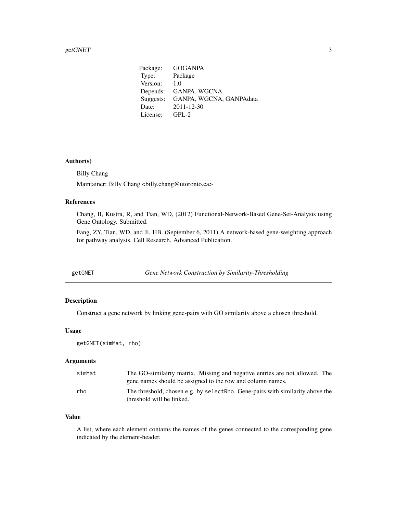<span id="page-2-0"></span>Package: GOGANPA Type: Package Version: 1.0 Depends: GANPA, WGCNA Suggests: GANPA, WGCNA, GANPAdata Date: 2011-12-30 License: GPL-2

#### Author(s)

Billy Chang

Maintainer: Billy Chang <br/> <br/> <br/> <br/> <br/> <br/>Maintainer: Billy Chang <br/><br/> $\alpha$ 

#### References

Chang, B, Kustra, R, and Tian, WD, (2012) Functional-Network-Based Gene-Set-Analysis using Gene Ontology. Submitted.

Fang, ZY, Tian, WD, and Ji, HB. (September 6, 2011) A network-based gene-weighting approach for pathway analysis. Cell Research. Advanced Publication.

<span id="page-2-1"></span>getGNET *Gene Network Construction by Similarity-Thresholding*

#### Description

Construct a gene network by linking gene-pairs with GO similarity above a chosen threshold.

#### Usage

getGNET(simMat, rho)

#### Arguments

| simMat | The GO-similairty matrix. Missing and negative entries are not allowed. The<br>gene names should be assigned to the row and column names. |
|--------|-------------------------------------------------------------------------------------------------------------------------------------------|
| rho    | The threshold, chosen e.g. by selectRho. Gene-pairs with similarity above the<br>threshold will be linked.                                |

#### Value

A list, where each element contains the names of the genes connected to the corresponding gene indicated by the element-header.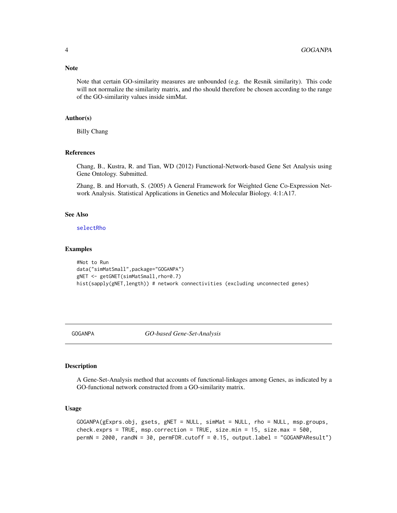<span id="page-3-0"></span>Note that certain GO-similarity measures are unbounded (e.g. the Resnik similarity). This code will not normalize the similarity matrix, and rho should therefore be chosen according to the range of the GO-similarity values inside simMat.

#### Author(s)

Billy Chang

#### References

Chang, B., Kustra, R. and Tian, WD (2012) Functional-Network-based Gene Set Analysis using Gene Ontology. Submitted.

Zhang, B. and Horvath, S. (2005) A General Framework for Weighted Gene Co-Expression Network Analysis. Statistical Applications in Genetics and Molecular Biology. 4:1:A17.

#### See Also

[selectRho](#page-5-1)

#### Examples

```
#Not to Run
data("simMatSmall",package="GOGANPA")
gNET <- getGNET(simMatSmall,rho=0.7)
hist(sapply(gNET,length)) # network connectivities (excluding unconnected genes)
```
GOGANPA *GO-based Gene-Set-Analysis*

#### Description

A Gene-Set-Analysis method that accounts of functional-linkages among Genes, as indicated by a GO-functional network constructed from a GO-similarity matrix.

#### Usage

```
GOGANPA(gExprs.obj, gsets, gNET = NULL, simMat = NULL, rho = NULL, msp.groups,
check.exprs = TRUE, msp.correction = TRUE, size.min = 15, size.max = 500,
permN = 2000, randN = 30, permFDR.cutoff = 0.15, output.label = "GOGANPAResult")
```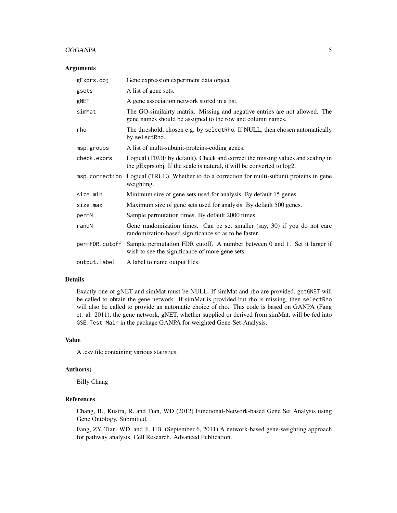#### GOGANPA 5

#### Arguments

| gExprs.obj   | Gene expression experiment data object                                                                                                                   |
|--------------|----------------------------------------------------------------------------------------------------------------------------------------------------------|
| gsets        | A list of gene sets.                                                                                                                                     |
| gNET         | A gene association network stored in a list.                                                                                                             |
| simMat       | The GO-similairty matrix. Missing and negative entries are not allowed. The<br>gene names should be assigned to the row and column names.                |
| rho          | The threshold, chosen e.g. by selectRho. If NULL, then chosen automatically<br>by selectRho.                                                             |
| msp.groups   | A list of multi-subunit-proteins-coding genes.                                                                                                           |
| check.exprs  | Logical (TRUE by default). Check and correct the missing values and scaling in<br>the gExprs.obj. If the scale is natural, it will be converted to log2. |
|              | msp. correction Logical (TRUE). Whether to do a correction for multi-subunit proteins in gene<br>weighting.                                              |
| size.min     | Minimum size of gene sets used for analysis. By default 15 genes.                                                                                        |
| size.max     | Maximum size of gene sets used for analysis. By default 500 genes.                                                                                       |
| permN        | Sample permutation times. By default 2000 times.                                                                                                         |
| randN        | Gene randomization times. Can be set smaller (say, 30) if you do not care<br>randomization-based significance so as to be faster.                        |
|              | permFDR. cutoff Sample permutation FDR cutoff. A number between 0 and 1. Set it larger if<br>wish to see the significance of more gene sets.             |
| output.label | A label to name output files.                                                                                                                            |

#### Details

Exactly one of gNET and simMat must be NULL. If simMat and rho are provided, getGNET will be called to obtain the gene network. If simMat is provided but rho is missing, then selectRho will also be called to provide an automatic choice of rho. This code is based on GANPA (Fang et. al. 2011), the gene network, gNET, whether supplied or derived from simMat, will be fed into GSE.Test.Main in the package GANPA for weighted Gene-Set-Analysis.

#### Value

A .csv file containing various statistics.

#### Author(s)

Billy Chang

# References

Chang, B., Kustra, R. and Tian, WD (2012) Functional-Network-based Gene Set Analysis using Gene Ontology. Submitted.

Fang, ZY, Tian, WD, and Ji, HB. (September 6, 2011) A network-based gene-weighting approach for pathway analysis. Cell Research. Advanced Publication.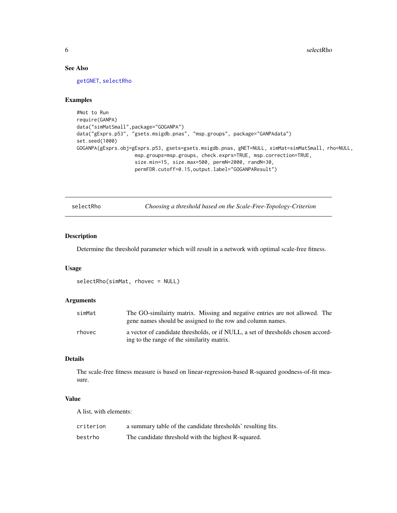#### See Also

[getGNET](#page-2-1), [selectRho](#page-5-1)

#### Examples

```
#Not to Run
require(GANPA)
data("simMatSmall",package="GOGANPA")
data("gExprs.p53", "gsets.msigdb.pnas", "msp.groups", package="GANPAdata")
set.seed(1000)
GOGANPA(gExprs.obj=gExprs.p53, gsets=gsets.msigdb.pnas, gNET=NULL, simMat=simMatSmall, rho=NULL,
                    msp.groups=msp.groups, check.exprs=TRUE, msp.correction=TRUE,
                    size.min=15, size.max=500, permN=2000, randN=30,
                    permFDR.cutoff=0.15,output.label="GOGANPAResult")
```
<span id="page-5-1"></span>selectRho *Choosing a threshold based on the Scale-Free-Topology-Criterion*

#### Description

Determine the threshold parameter which will result in a network with optimal scale-free fitness.

#### Usage

```
selectRho(simMat, rhovec = NULL)
```
#### Arguments

| simMat | The GO-similairty matrix. Missing and negative entries are not allowed. The<br>gene names should be assigned to the row and column names. |
|--------|-------------------------------------------------------------------------------------------------------------------------------------------|
| rhovec | a vector of candidate thresholds, or if NULL, a set of thresholds chosen accord-<br>ing to the range of the similarity matrix.            |

#### Details

The scale-free fitness measure is based on linear-regression-based R-squared goodness-of-fit measure.

#### Value

A list, with elements:

| criterion | a summary table of the candidate thresholds' resulting fits. |
|-----------|--------------------------------------------------------------|
| bestrho   | The candidate threshold with the highest R-squared.          |

<span id="page-5-0"></span>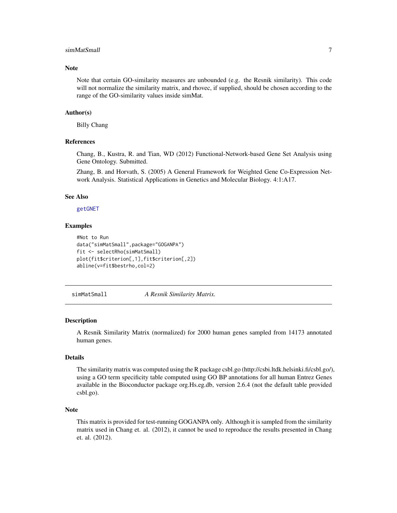#### <span id="page-6-0"></span>simMatSmall 7 and 7 and 7 and 7 and 7 and 7 and 7 and 7 and 7 and 7 and 7 and 7 and 7 and 7 and 7 and 7 and 7 and 7 and 7 and 7 and 7 and 7 and 7 and 7 and 7 and 7 and 7 and 7 and 7 and 7 and 7 and 7 and 7 and 7 and 7 and

#### **Note**

Note that certain GO-similarity measures are unbounded (e.g. the Resnik similarity). This code will not normalize the similarity matrix, and rhovec, if supplied, should be chosen according to the range of the GO-similarity values inside simMat.

#### Author(s)

Billy Chang

#### References

Chang, B., Kustra, R. and Tian, WD (2012) Functional-Network-based Gene Set Analysis using Gene Ontology. Submitted.

Zhang, B. and Horvath, S. (2005) A General Framework for Weighted Gene Co-Expression Network Analysis. Statistical Applications in Genetics and Molecular Biology. 4:1:A17.

#### See Also

[getGNET](#page-2-1)

#### Examples

```
#Not to Run
data("simMatSmall",package="GOGANPA")
fit <- selectRho(simMatSmall)
plot(fit$criterion[,1],fit$criterion[,2])
abline(v=fit$bestrho,col=2)
```
simMatSmall *A Resnik Similarity Matrix.*

#### **Description**

A Resnik Similarity Matrix (normalized) for 2000 human genes sampled from 14173 annotated human genes.

#### Details

The similarity matrix was computed using the R package csbl.go (http://csbi.ltdk.helsinki.fi/csbl.go/), using a GO term specificity table computed using GO BP annotations for all human Entrez Genes available in the Bioconductor package org.Hs.eg.db, version 2.6.4 (not the default table provided csbl.go).

#### Note

This matrix is provided for test-running GOGANPA only. Although it is sampled from the similarity matrix used in Chang et. al. (2012), it cannot be used to reproduce the results presented in Chang et. al. (2012).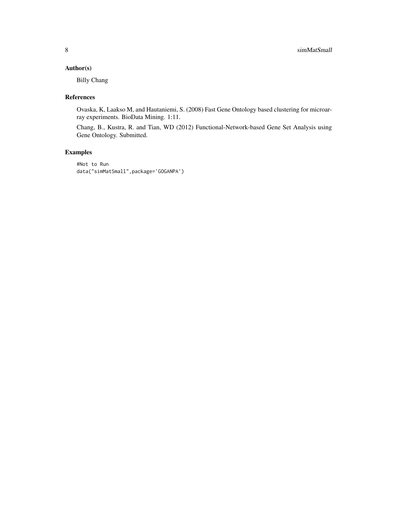### Author(s)

Billy Chang

#### References

Ovaska, K, Laakso M, and Hautaniemi, S. (2008) Fast Gene Ontology based clustering for microarray experiments. BioData Mining. 1:11.

Chang, B., Kustra, R. and Tian, WD (2012) Functional-Network-based Gene Set Analysis using Gene Ontology. Submitted.

# Examples

#Not to Run data("simMatSmall",package='GOGANPA')